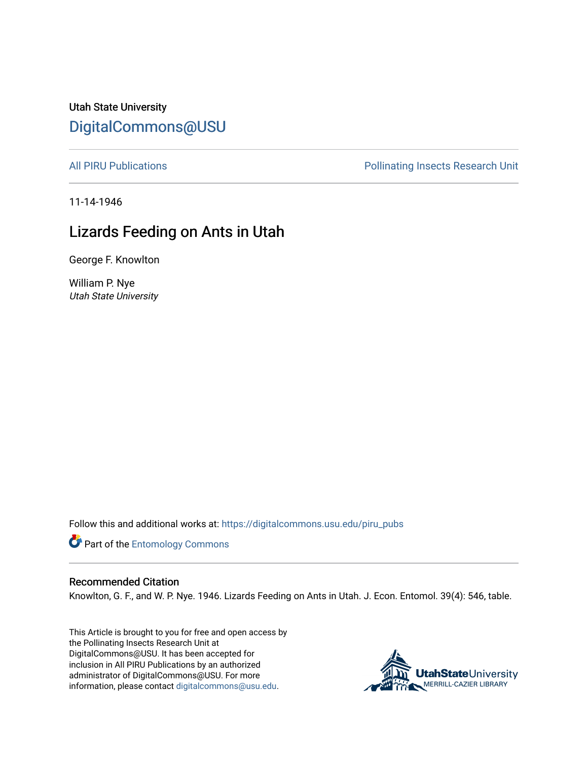Utah State University [DigitalCommons@USU](https://digitalcommons.usu.edu/)

[All PIRU Publications](https://digitalcommons.usu.edu/piru_pubs) **Pollinations** Pollinating Insects Research Unit

11-14-1946

## Lizards Feeding on Ants in Utah

George F. Knowlton

William P. Nye Utah State University

Follow this and additional works at: [https://digitalcommons.usu.edu/piru\\_pubs](https://digitalcommons.usu.edu/piru_pubs?utm_source=digitalcommons.usu.edu%2Fpiru_pubs%2F236&utm_medium=PDF&utm_campaign=PDFCoverPages) 

Part of the [Entomology Commons](http://network.bepress.com/hgg/discipline/83?utm_source=digitalcommons.usu.edu%2Fpiru_pubs%2F236&utm_medium=PDF&utm_campaign=PDFCoverPages) 

## Recommended Citation

Knowlton, G. F., and W. P. Nye. 1946. Lizards Feeding on Ants in Utah. J. Econ. Entomol. 39(4): 546, table.

This Article is brought to you for free and open access by the Pollinating Insects Research Unit at DigitalCommons@USU. It has been accepted for inclusion in All PIRU Publications by an authorized administrator of DigitalCommons@USU. For more information, please contact [digitalcommons@usu.edu](mailto:digitalcommons@usu.edu).